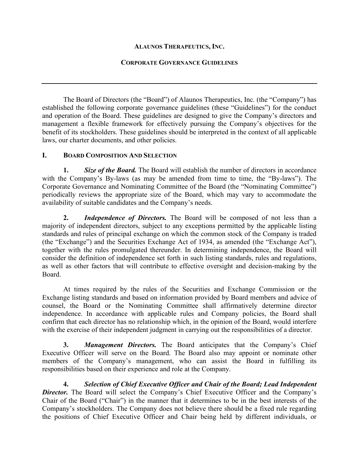# **ALAUNOS THERAPEUTICS, INC.**

# **CORPORATE GOVERNANCE GUIDELINES**

The Board of Directors (the "Board") of Alaunos Therapeutics, Inc. (the "Company") has established the following corporate governance guidelines (these "Guidelines") for the conduct and operation of the Board. These guidelines are designed to give the Company's directors and management a flexible framework for effectively pursuing the Company's objectives for the benefit of its stockholders. These guidelines should be interpreted in the context of all applicable laws, our charter documents, and other policies.

# **I. BOARD COMPOSITION AND SELECTION**

**1.** *Size of the Board.* The Board will establish the number of directors in accordance with the Company's By-laws (as may be amended from time to time, the "By-laws"). The Corporate Governance and Nominating Committee of the Board (the "Nominating Committee") periodically reviews the appropriate size of the Board, which may vary to accommodate the availability of suitable candidates and the Company's needs.

**2.** *Independence of Directors.* The Board will be composed of not less than a majority of independent directors, subject to any exceptions permitted by the applicable listing standards and rules of principal exchange on which the common stock of the Company is traded (the "Exchange") and the Securities Exchange Act of 1934, as amended (the "Exchange Act"), together with the rules promulgated thereunder. In determining independence, the Board will consider the definition of independence set forth in such listing standards, rules and regulations, as well as other factors that will contribute to effective oversight and decision-making by the Board.

At times required by the rules of the Securities and Exchange Commission or the Exchange listing standards and based on information provided by Board members and advice of counsel, the Board or the Nominating Committee shall affirmatively determine director independence. In accordance with applicable rules and Company policies, the Board shall confirm that each director has no relationship which, in the opinion of the Board, would interfere with the exercise of their independent judgment in carrying out the responsibilities of a director.

**3.** *Management Directors.* The Board anticipates that the Company's Chief Executive Officer will serve on the Board. The Board also may appoint or nominate other members of the Company's management, who can assist the Board in fulfilling its responsibilities based on their experience and role at the Company.

**4.** *Selection of Chief Executive Officer and Chair of the Board; Lead Independent*  **Director.** The Board will select the Company's Chief Executive Officer and the Company's Chair of the Board ("Chair") in the manner that it determines to be in the best interests of the Company's stockholders. The Company does not believe there should be a fixed rule regarding the positions of Chief Executive Officer and Chair being held by different individuals, or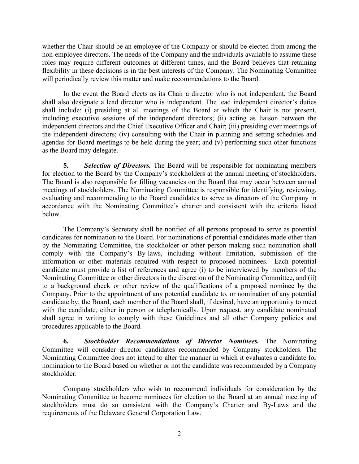whether the Chair should be an employee of the Company or should be elected from among the non-employee directors. The needs of the Company and the individuals available to assume these roles may require different outcomes at different times, and the Board believes that retaining flexibility in these decisions is in the best interests of the Company. The Nominating Committee will periodically review this matter and make recommendations to the Board.

In the event the Board elects as its Chair a director who is not independent, the Board shall also designate a lead director who is independent. The lead independent director's duties shall include: (i) presiding at all meetings of the Board at which the Chair is not present, including executive sessions of the independent directors; (ii) acting as liaison between the independent directors and the Chief Executive Officer and Chair; (iii) presiding over meetings of the independent directors; (iv) consulting with the Chair in planning and setting schedules and agendas for Board meetings to be held during the year; and  $\overline{(v)}$  performing such other functions as the Board may delegate.

**5.** *Selection of Directors.* The Board will be responsible for nominating members for election to the Board by the Company's stockholders at the annual meeting of stockholders. The Board is also responsible for filling vacancies on the Board that may occur between annual meetings of stockholders. The Nominating Committee is responsible for identifying, reviewing, evaluating and recommending to the Board candidates to serve as directors of the Company in accordance with the Nominating Committee's charter and consistent with the criteria listed below.

The Company's Secretary shall be notified of all persons proposed to serve as potential candidates for nomination to the Board. For nominations of potential candidates made other than by the Nominating Committee, the stockholder or other person making such nomination shall comply with the Company's By-laws, including without limitation, submission of the information or other materials required with respect to proposed nominees. Each potential candidate must provide a list of references and agree (i) to be interviewed by members of the Nominating Committee or other directors in the discretion of the Nominating Committee, and (ii) to a background check or other review of the qualifications of a proposed nominee by the Company. Prior to the appointment of any potential candidate to, or nomination of any potential candidate by, the Board, each member of the Board shall, if desired, have an opportunity to meet with the candidate, either in person or telephonically. Upon request, any candidate nominated shall agree in writing to comply with these Guidelines and all other Company policies and procedures applicable to the Board.

**6.** *Stockholder Recommendations of Director Nominees.* The Nominating Committee will consider director candidates recommended by Company stockholders. The Nominating Committee does not intend to alter the manner in which it evaluates a candidate for nomination to the Board based on whether or not the candidate was recommended by a Company stockholder.

Company stockholders who wish to recommend individuals for consideration by the Nominating Committee to become nominees for election to the Board at an annual meeting of stockholders must do so consistent with the Company's Charter and By-Laws and the requirements of the Delaware General Corporation Law.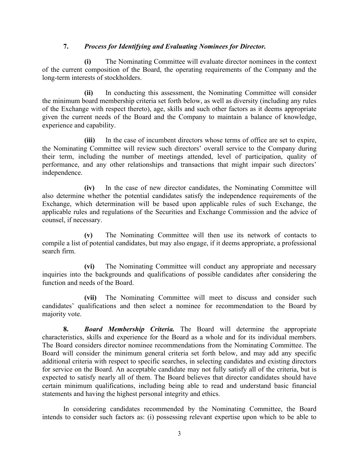# **7.** *Process for Identifying and Evaluating Nominees for Director.*

**(i)** The Nominating Committee will evaluate director nominees in the context of the current composition of the Board, the operating requirements of the Company and the long-term interests of stockholders.

**(ii)** In conducting this assessment, the Nominating Committee will consider the minimum board membership criteria set forth below, as well as diversity (including any rules of the Exchange with respect thereto), age, skills and such other factors as it deems appropriate given the current needs of the Board and the Company to maintain a balance of knowledge, experience and capability.

**(iii)** In the case of incumbent directors whose terms of office are set to expire, the Nominating Committee will review such directors' overall service to the Company during their term, including the number of meetings attended, level of participation, quality of performance, and any other relationships and transactions that might impair such directors' independence.

**(iv)** In the case of new director candidates, the Nominating Committee will also determine whether the potential candidates satisfy the independence requirements of the Exchange, which determination will be based upon applicable rules of such Exchange, the applicable rules and regulations of the Securities and Exchange Commission and the advice of counsel, if necessary.

**(v)** The Nominating Committee will then use its network of contacts to compile a list of potential candidates, but may also engage, if it deems appropriate, a professional search firm.

**(vi)** The Nominating Committee will conduct any appropriate and necessary inquiries into the backgrounds and qualifications of possible candidates after considering the function and needs of the Board.

**(vii)** The Nominating Committee will meet to discuss and consider such candidates' qualifications and then select a nominee for recommendation to the Board by majority vote.

**8.** *Board Membership Criteria.* The Board will determine the appropriate characteristics, skills and experience for the Board as a whole and for its individual members. The Board considers director nominee recommendations from the Nominating Committee. The Board will consider the minimum general criteria set forth below, and may add any specific additional criteria with respect to specific searches, in selecting candidates and existing directors for service on the Board. An acceptable candidate may not fully satisfy all of the criteria, but is expected to satisfy nearly all of them. The Board believes that director candidates should have certain minimum qualifications, including being able to read and understand basic financial statements and having the highest personal integrity and ethics.

In considering candidates recommended by the Nominating Committee, the Board intends to consider such factors as: (i) possessing relevant expertise upon which to be able to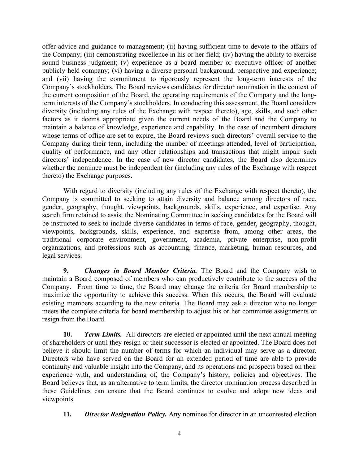offer advice and guidance to management; (ii) having sufficient time to devote to the affairs of the Company; (iii) demonstrating excellence in his or her field; (iv) having the ability to exercise sound business judgment; (v) experience as a board member or executive officer of another publicly held company; (vi) having a diverse personal background, perspective and experience; and (vii) having the commitment to rigorously represent the long-term interests of the Company's stockholders. The Board reviews candidates for director nomination in the context of the current composition of the Board, the operating requirements of the Company and the longterm interests of the Company's stockholders. In conducting this assessment, the Board considers diversity (including any rules of the Exchange with respect thereto), age, skills, and such other factors as it deems appropriate given the current needs of the Board and the Company to maintain a balance of knowledge, experience and capability. In the case of incumbent directors whose terms of office are set to expire, the Board reviews such directors' overall service to the Company during their term, including the number of meetings attended, level of participation, quality of performance, and any other relationships and transactions that might impair such directors' independence. In the case of new director candidates, the Board also determines whether the nominee must be independent for (including any rules of the Exchange with respect thereto) the Exchange purposes.

With regard to diversity (including any rules of the Exchange with respect thereto), the Company is committed to seeking to attain diversity and balance among directors of race, gender, geography, thought, viewpoints, backgrounds, skills, experience, and expertise. Any search firm retained to assist the Nominating Committee in seeking candidates for the Board will be instructed to seek to include diverse candidates in terms of race, gender, geography, thought, viewpoints, backgrounds, skills, experience, and expertise from, among other areas, the traditional corporate environment, government, academia, private enterprise, non-profit organizations, and professions such as accounting, finance, marketing, human resources, and legal services.

**9.** *Changes in Board Member Criteria.* The Board and the Company wish to maintain a Board composed of members who can productively contribute to the success of the Company. From time to time, the Board may change the criteria for Board membership to maximize the opportunity to achieve this success. When this occurs, the Board will evaluate existing members according to the new criteria. The Board may ask a director who no longer meets the complete criteria for board membership to adjust his or her committee assignments or resign from the Board.

**10.** *Term Limits.* All directors are elected or appointed until the next annual meeting of shareholders or until they resign or their successor is elected or appointed. The Board does not believe it should limit the number of terms for which an individual may serve as a director. Directors who have served on the Board for an extended period of time are able to provide continuity and valuable insight into the Company, and its operations and prospects based on their experience with, and understanding of, the Company's history, policies and objectives. The Board believes that, as an alternative to term limits, the director nomination process described in these Guidelines can ensure that the Board continues to evolve and adopt new ideas and viewpoints.

**11.** *Director Resignation Policy.* Any nominee for director in an uncontested election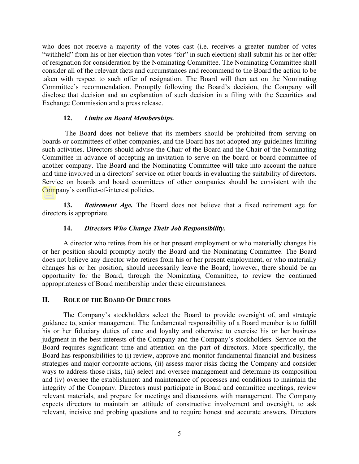who does not receive a majority of the votes cast (i.e. receives a greater number of votes "withheld" from his or her election than votes "for" in such election) shall submit his or her offer of resignation for consideration by the Nominating Committee. The Nominating Committee shall consider all of the relevant facts and circumstances and recommend to the Board the action to be taken with respect to such offer of resignation. The Board will then act on the Nominating Committee's recommendation. Promptly following the Board's decision, the Company will disclose that decision and an explanation of such decision in a filing with the Securities and Exchange Commission and a press release.

### **12.** *Limits on Board Memberships.*

The Board does not believe that its members should be prohibited from serving on boards or committees of other companies, and the Board has not adopted any guidelines limiting such activities. Directors should advise the Chair of the Board and the Chair of the Nominating Committee in advance of accepting an invitation to serve on the board or board committee of another company. The Board and the Nominating Committee will take into account the nature and time involved in a directors' service on other boards in evaluating the suitability of directors. Service on boards and board committees of other companies should be consistent with the Company's conflict-of-interest policies.

**13.** *Retirement Age.* The Board does not believe that a fixed retirement age for directors is appropriate.

### **14.** *Directors Who Change Their Job Responsibility.*

A director who retires from his or her present employment or who materially changes his or her position should promptly notify the Board and the Nominating Committee. The Board does not believe any director who retires from his or her present employment, or who materially changes his or her position, should necessarily leave the Board; however, there should be an opportunity for the Board, through the Nominating Committee, to review the continued appropriateness of Board membership under these circumstances.

### **II. ROLE OF THE BOARD OF DIRECTORS**

The Company's stockholders select the Board to provide oversight of, and strategic guidance to, senior management. The fundamental responsibility of a Board member is to fulfill his or her fiduciary duties of care and loyalty and otherwise to exercise his or her business judgment in the best interests of the Company and the Company's stockholders. Service on the Board requires significant time and attention on the part of directors. More specifically, the Board has responsibilities to (i) review, approve and monitor fundamental financial and business strategies and major corporate actions, (ii) assess major risks facing the Company and consider ways to address those risks, (iii) select and oversee management and determine its composition and (iv) oversee the establishment and maintenance of processes and conditions to maintain the integrity of the Company. Directors must participate in Board and committee meetings, review relevant materials, and prepare for meetings and discussions with management. The Company expects directors to maintain an attitude of constructive involvement and oversight, to ask relevant, incisive and probing questions and to require honest and accurate answers. Directors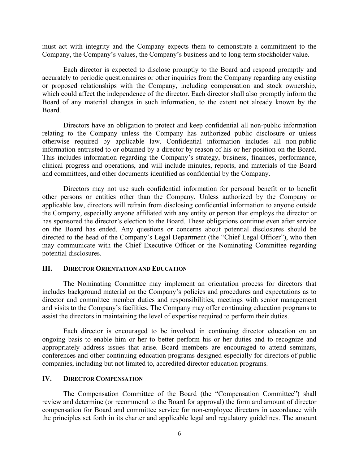must act with integrity and the Company expects them to demonstrate a commitment to the Company, the Company's values, the Company's business and to long-term stockholder value.

Each director is expected to disclose promptly to the Board and respond promptly and accurately to periodic questionnaires or other inquiries from the Company regarding any existing or proposed relationships with the Company, including compensation and stock ownership, which could affect the independence of the director. Each director shall also promptly inform the Board of any material changes in such information, to the extent not already known by the Board.

Directors have an obligation to protect and keep confidential all non-public information relating to the Company unless the Company has authorized public disclosure or unless otherwise required by applicable law. Confidential information includes all non-public information entrusted to or obtained by a director by reason of his or her position on the Board. This includes information regarding the Company's strategy, business, finances, performance, clinical progress and operations, and will include minutes, reports, and materials of the Board and committees, and other documents identified as confidential by the Company.

Directors may not use such confidential information for personal benefit or to benefit other persons or entities other than the Company. Unless authorized by the Company or applicable law, directors will refrain from disclosing confidential information to anyone outside the Company, especially anyone affiliated with any entity or person that employs the director or has sponsored the director's election to the Board. These obligations continue even after service on the Board has ended. Any questions or concerns about potential disclosures should be directed to the head of the Company's Legal Department (the "Chief Legal Officer"), who then may communicate with the Chief Executive Officer or the Nominating Committee regarding potential disclosures.

#### **III. DIRECTOR ORIENTATION AND EDUCATION**

The Nominating Committee may implement an orientation process for directors that includes background material on the Company's policies and procedures and expectations as to director and committee member duties and responsibilities, meetings with senior management and visits to the Company's facilities. The Company may offer continuing education programs to assist the directors in maintaining the level of expertise required to perform their duties.

Each director is encouraged to be involved in continuing director education on an ongoing basis to enable him or her to better perform his or her duties and to recognize and appropriately address issues that arise. Board members are encouraged to attend seminars, conferences and other continuing education programs designed especially for directors of public companies, including but not limited to, accredited director education programs.

### **IV. DIRECTOR COMPENSATION**

The Compensation Committee of the Board (the "Compensation Committee") shall review and determine (or recommend to the Board for approval) the form and amount of director compensation for Board and committee service for non-employee directors in accordance with the principles set forth in its charter and applicable legal and regulatory guidelines. The amount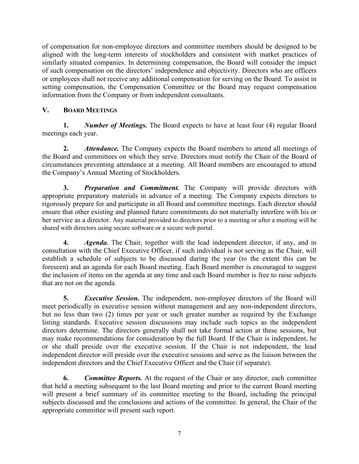of compensation for non-employee directors and committee members should be designed to be aligned with the long-term interests of stockholders and consistent with market practices of similarly situated companies. In determining compensation, the Board will consider the impact of such compensation on the directors' independence and objectivity. Directors who are officers or employees shall not receive any additional compensation for serving on the Board. To assist in setting compensation, the Compensation Committee or the Board may request compensation information from the Company or from independent consultants.

# **V. BOARD MEETINGS**

**1.** *Number of Meetings.* The Board expects to have at least four (4) regular Board meetings each year.

**2.** *Attendance.* The Company expects the Board members to attend all meetings of the Board and committees on which they serve. Directors must notify the Chair of the Board of circumstances preventing attendance at a meeting. All Board members are encouraged to attend the Company's Annual Meeting of Stockholders.

**3.** *Preparation and Commitment.* The Company will provide directors with appropriate preparatory materials in advance of a meeting. The Company expects directors to rigorously prepare for and participate in all Board and committee meetings. Each director should ensure that other existing and planned future commitments do not materially interfere with his or her service as a director. Any material provided to directors prior to a meeting or after a meeting will be shared with directors using secure software or a secure web portal.

**4.** *Agenda.* The Chair, together with the lead independent director, if any, and in consultation with the Chief Executive Officer, if such individual is not serving as the Chair, will establish a schedule of subjects to be discussed during the year (to the extent this can be foreseen) and an agenda for each Board meeting. Each Board member is encouraged to suggest the inclusion of items on the agenda at any time and each Board member is free to raise subjects that are not on the agenda.

**5.** *Executive Session.* The independent, non-employee directors of the Board will meet periodically in executive session without management and any non-independent directors, but no less than two (2) times per year or such greater number as required by the Exchange listing standards. Executive session discussions may include such topics as the independent directors determine. The directors generally shall not take formal action at these sessions, but may make recommendations for consideration by the full Board. If the Chair is independent, he or she shall preside over the executive session. If the Chair is not independent, the lead independent director will preside over the executive sessions and serve as the liaison between the independent directors and the Chief Executive Officer and the Chair (if separate).

**6.** *Committee Reports.* At the request of the Chair or any director, each committee that held a meeting subsequent to the last Board meeting and prior to the current Board meeting will present a brief summary of its committee meeting to the Board, including the principal subjects discussed and the conclusions and actions of the committee. In general, the Chair of the appropriate committee will present such report.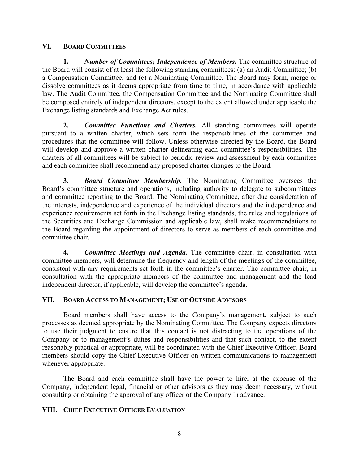### **VI. BOARD COMMITTEES**

**1.** *Number of Committees; Independence of Members.* The committee structure of the Board will consist of at least the following standing committees: (a) an Audit Committee; (b) a Compensation Committee; and (c) a Nominating Committee. The Board may form, merge or dissolve committees as it deems appropriate from time to time, in accordance with applicable law. The Audit Committee, the Compensation Committee and the Nominating Committee shall be composed entirely of independent directors, except to the extent allowed under applicable the Exchange listing standards and Exchange Act rules.

**2.** *Committee Functions and Charters.* All standing committees will operate pursuant to a written charter, which sets forth the responsibilities of the committee and procedures that the committee will follow. Unless otherwise directed by the Board, the Board will develop and approve a written charter delineating each committee's responsibilities. The charters of all committees will be subject to periodic review and assessment by each committee and each committee shall recommend any proposed charter changes to the Board.

**3.** *Board Committee Membership.* The Nominating Committee oversees the Board's committee structure and operations, including authority to delegate to subcommittees and committee reporting to the Board. The Nominating Committee, after due consideration of the interests, independence and experience of the individual directors and the independence and experience requirements set forth in the Exchange listing standards, the rules and regulations of the Securities and Exchange Commission and applicable law, shall make recommendations to the Board regarding the appointment of directors to serve as members of each committee and committee chair.

**4.** *Committee Meetings and Agenda.* The committee chair, in consultation with committee members, will determine the frequency and length of the meetings of the committee, consistent with any requirements set forth in the committee's charter. The committee chair, in consultation with the appropriate members of the committee and management and the lead independent director, if applicable, will develop the committee's agenda.

# **VII. BOARD ACCESS TO MANAGEMENT; USE OF OUTSIDE ADVISORS**

Board members shall have access to the Company's management, subject to such processes as deemed appropriate by the Nominating Committee. The Company expects directors to use their judgment to ensure that this contact is not distracting to the operations of the Company or to management's duties and responsibilities and that such contact, to the extent reasonably practical or appropriate, will be coordinated with the Chief Executive Officer. Board members should copy the Chief Executive Officer on written communications to management whenever appropriate.

The Board and each committee shall have the power to hire, at the expense of the Company, independent legal, financial or other advisors as they may deem necessary, without consulting or obtaining the approval of any officer of the Company in advance.

# **VIII. CHIEF EXECUTIVE OFFICER EVALUATION**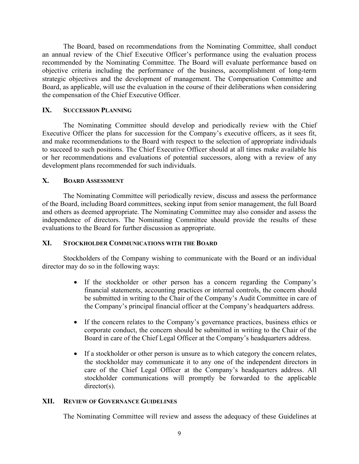The Board, based on recommendations from the Nominating Committee, shall conduct an annual review of the Chief Executive Officer's performance using the evaluation process recommended by the Nominating Committee. The Board will evaluate performance based on objective criteria including the performance of the business, accomplishment of long-term strategic objectives and the development of management. The Compensation Committee and Board, as applicable, will use the evaluation in the course of their deliberations when considering the compensation of the Chief Executive Officer.

### **IX. SUCCESSION PLANNING**

The Nominating Committee should develop and periodically review with the Chief Executive Officer the plans for succession for the Company's executive officers, as it sees fit, and make recommendations to the Board with respect to the selection of appropriate individuals to succeed to such positions. The Chief Executive Officer should at all times make available his or her recommendations and evaluations of potential successors, along with a review of any development plans recommended for such individuals.

# **X. BOARD ASSESSMENT**

The Nominating Committee will periodically review, discuss and assess the performance of the Board, including Board committees, seeking input from senior management, the full Board and others as deemed appropriate. The Nominating Committee may also consider and assess the independence of directors. The Nominating Committee should provide the results of these evaluations to the Board for further discussion as appropriate.

# **XI. STOCKHOLDER COMMUNICATIONS WITH THE BOARD**

Stockholders of the Company wishing to communicate with the Board or an individual director may do so in the following ways:

- If the stockholder or other person has a concern regarding the Company's financial statements, accounting practices or internal controls, the concern should be submitted in writing to the Chair of the Company's Audit Committee in care of the Company's principal financial officer at the Company's headquarters address.
- If the concern relates to the Company's governance practices, business ethics or corporate conduct, the concern should be submitted in writing to the Chair of the Board in care of the Chief Legal Officer at the Company's headquarters address.
- If a stockholder or other person is unsure as to which category the concern relates, the stockholder may communicate it to any one of the independent directors in care of the Chief Legal Officer at the Company's headquarters address. All stockholder communications will promptly be forwarded to the applicable director(s).

### **XII. REVIEW OF GOVERNANCE GUIDELINES**

The Nominating Committee will review and assess the adequacy of these Guidelines at